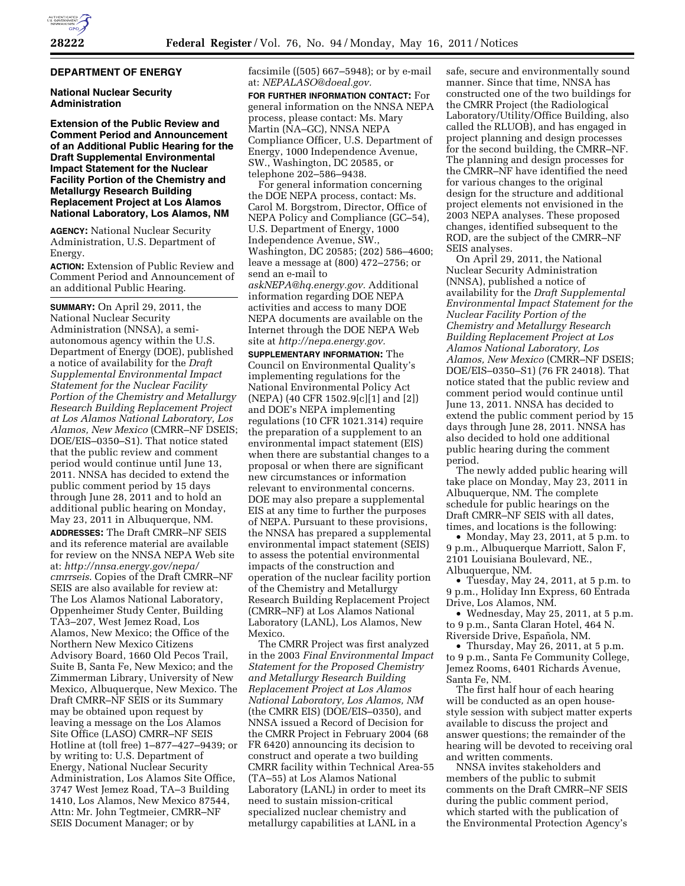### **DEPARTMENT OF ENERGY**

## **National Nuclear Security Administration**

**Extension of the Public Review and Comment Period and Announcement of an Additional Public Hearing for the Draft Supplemental Environmental Impact Statement for the Nuclear Facility Portion of the Chemistry and Metallurgy Research Building Replacement Project at Los Alamos National Laboratory, Los Alamos, NM** 

**AGENCY:** National Nuclear Security Administration, U.S. Department of Energy.

**ACTION:** Extension of Public Review and Comment Period and Announcement of an additional Public Hearing.

**SUMMARY:** On April 29, 2011, the National Nuclear Security Administration (NNSA), a semiautonomous agency within the U.S. Department of Energy (DOE), published a notice of availability for the *Draft Supplemental Environmental Impact Statement for the Nuclear Facility Portion of the Chemistry and Metallurgy Research Building Replacement Project at Los Alamos National Laboratory, Los Alamos, New Mexico* (CMRR–NF DSEIS; DOE/EIS–0350–S1). That notice stated that the public review and comment period would continue until June 13, 2011. NNSA has decided to extend the public comment period by 15 days through June 28, 2011 and to hold an additional public hearing on Monday, May 23, 2011 in Albuquerque, NM.

**ADDRESSES:** The Draft CMRR–NF SEIS and its reference material are available for review on the NNSA NEPA Web site at: *[http://nnsa.energy.gov/nepa/](http://nnsa.energy.gov/nepa/cmrrseis)  [cmrrseis](http://nnsa.energy.gov/nepa/cmrrseis)*. Copies of the Draft CMRR–NF SEIS are also available for review at: The Los Alamos National Laboratory, Oppenheimer Study Center, Building TA3–207, West Jemez Road, Los Alamos, New Mexico; the Office of the Northern New Mexico Citizens Advisory Board, 1660 Old Pecos Trail, Suite B, Santa Fe, New Mexico; and the Zimmerman Library, University of New Mexico, Albuquerque, New Mexico. The Draft CMRR–NF SEIS or its Summary may be obtained upon request by leaving a message on the Los Alamos Site Office (LASO) CMRR–NF SEIS Hotline at (toll free) 1–877–427–9439; or by writing to: U.S. Department of Energy, National Nuclear Security Administration, Los Alamos Site Office, 3747 West Jemez Road, TA–3 Building 1410, Los Alamos, New Mexico 87544, Attn: Mr. John Tegtmeier, CMRR–NF SEIS Document Manager; or by

facsimile ((505) 667–5948); or by e-mail at: *[NEPALASO@doeal.gov.](mailto:NEPALASO@doeal.gov)* 

**FOR FURTHER INFORMATION CONTACT:** For general information on the NNSA NEPA process, please contact: Ms. Mary Martin (NA–GC), NNSA NEPA Compliance Officer, U.S. Department of Energy, 1000 Independence Avenue, SW., Washington, DC 20585, or telephone 202–586–9438.

For general information concerning the DOE NEPA process, contact: Ms. Carol M. Borgstrom, Director, Office of NEPA Policy and Compliance (GC–54), U.S. Department of Energy, 1000 Independence Avenue, SW., Washington, DC 20585; (202) 586–4600; leave a message at (800) 472–2756; or send an e-mail to

*[askNEPA@hq.energy.gov.](mailto:askNEPA@hq.energy.gov)* Additional information regarding DOE NEPA activities and access to many DOE NEPA documents are available on the Internet through the DOE NEPA Web site at *[http://nepa.energy.gov.](http://nepa.energy.gov)* 

**SUPPLEMENTARY INFORMATION:** The Council on Environmental Quality's implementing regulations for the National Environmental Policy Act (NEPA) (40 CFR 1502.9[c][1] and [2]) and DOE's NEPA implementing regulations (10 CFR 1021.314) require the preparation of a supplement to an environmental impact statement (EIS) when there are substantial changes to a proposal or when there are significant new circumstances or information relevant to environmental concerns. DOE may also prepare a supplemental EIS at any time to further the purposes of NEPA. Pursuant to these provisions, the NNSA has prepared a supplemental environmental impact statement (SEIS) to assess the potential environmental impacts of the construction and operation of the nuclear facility portion of the Chemistry and Metallurgy Research Building Replacement Project (CMRR–NF) at Los Alamos National Laboratory (LANL), Los Alamos, New Mexico.

The CMRR Project was first analyzed in the 2003 *Final Environmental Impact Statement for the Proposed Chemistry and Metallurgy Research Building Replacement Project at Los Alamos National Laboratory, Los Alamos, NM*  (the CMRR EIS) (DOE/EIS–0350), and NNSA issued a Record of Decision for the CMRR Project in February 2004 (68 FR 6420) announcing its decision to construct and operate a two building CMRR facility within Technical Area-55 (TA–55) at Los Alamos National Laboratory (LANL) in order to meet its need to sustain mission-critical specialized nuclear chemistry and metallurgy capabilities at LANL in a

safe, secure and environmentally sound manner. Since that time, NNSA has constructed one of the two buildings for the CMRR Project (the Radiological Laboratory/Utility/Office Building, also called the RLUOB), and has engaged in project planning and design processes for the second building, the CMRR–NF. The planning and design processes for the CMRR–NF have identified the need for various changes to the original design for the structure and additional project elements not envisioned in the 2003 NEPA analyses. These proposed changes, identified subsequent to the ROD, are the subject of the CMRR–NF SEIS analyses.

On April 29, 2011, the National Nuclear Security Administration (NNSA), published a notice of availability for the *Draft Supplemental Environmental Impact Statement for the Nuclear Facility Portion of the Chemistry and Metallurgy Research Building Replacement Project at Los Alamos National Laboratory, Los Alamos, New Mexico* (CMRR–NF DSEIS; DOE/EIS–0350–S1) (76 FR 24018). That notice stated that the public review and comment period would continue until June 13, 2011. NNSA has decided to extend the public comment period by 15 days through June 28, 2011. NNSA has also decided to hold one additional public hearing during the comment period.

The newly added public hearing will take place on Monday, May 23, 2011 in Albuquerque, NM. The complete schedule for public hearings on the Draft CMRR–NF SEIS with all dates, times, and locations is the following:

• Monday, May 23, 2011, at 5 p.m. to 9 p.m., Albuquerque Marriott, Salon F, 2101 Louisiana Boulevard, NE., Albuquerque, NM.

• Tuesday, May 24, 2011, at 5 p.m. to 9 p.m., Holiday Inn Express, 60 Entrada Drive, Los Alamos, NM.

• Wednesday, May 25, 2011, at 5 p.m. to 9 p.m., Santa Claran Hotel, 464 N. Riverside Drive, Española, NM.

• Thursday, May 26, 2011, at 5 p.m. to 9 p.m., Santa Fe Community College, Jemez Rooms, 6401 Richards Avenue, Santa Fe, NM.

The first half hour of each hearing will be conducted as an open housestyle session with subject matter experts available to discuss the project and answer questions; the remainder of the hearing will be devoted to receiving oral and written comments.

NNSA invites stakeholders and members of the public to submit comments on the Draft CMRR–NF SEIS during the public comment period, which started with the publication of the Environmental Protection Agency's